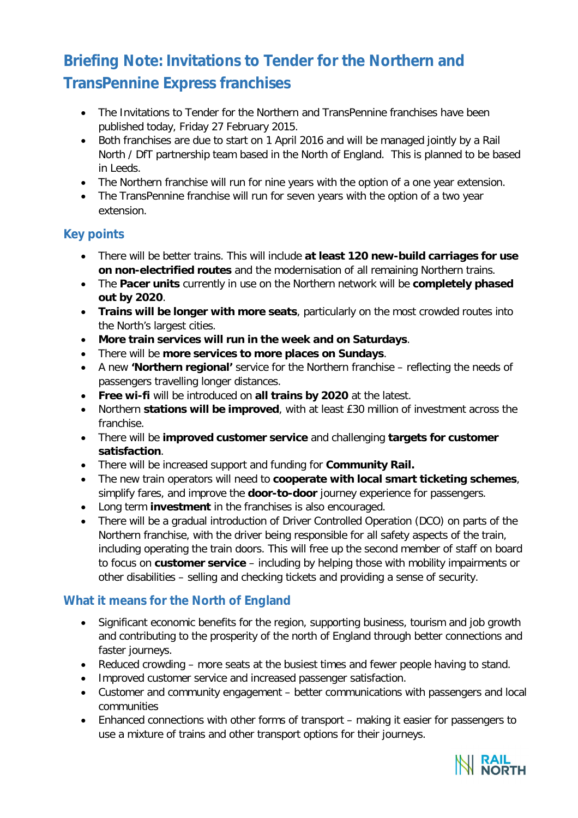# **Briefing Note: Invitations to Tender for the Northern and TransPennine Express franchises**

- The Invitations to Tender for the Northern and TransPennine franchises have been published today, Friday 27 February 2015.
- Both franchises are due to start on 1 April 2016 and will be managed jointly by a Rail North / DfT partnership team based in the North of England. This is planned to be based in Leeds.
- The Northern franchise will run for nine years with the option of a one year extension.
- The TransPennine franchise will run for seven years with the option of a two year extension.

## **Key points**

- There will be better trains. This will include **at least 120 new-build carriages for use on non-electrified routes** and the modernisation of all remaining Northern trains.
- The **Pacer units** currently in use on the Northern network will be **completely phased out by 2020**.
- **Trains will be longer with more seats**, particularly on the most crowded routes into the North's largest cities.
- **More train services will run in the week and on Saturdays**.
- There will be **more services to more places on Sundays**.
- A new **'Northern regional'** service for the Northern franchise reflecting the needs of passengers travelling longer distances.
- **Free wi-fi** will be introduced on **all trains by 2020** at the latest.
- Northern **stations will be improved**, with at least £30 million of investment across the franchise.
- There will be **improved customer service** and challenging **targets for customer satisfaction**.
- There will be increased support and funding for **Community Rail.**
- The new train operators will need to **cooperate with local smart ticketing schemes**, simplify fares, and improve the **door-to-door** journey experience for passengers.
- Long term **investment** in the franchises is also encouraged.
- There will be a gradual introduction of Driver Controlled Operation (DCO) on parts of the Northern franchise, with the driver being responsible for all safety aspects of the train, including operating the train doors. This will free up the second member of staff on board to focus on **customer service** – including by helping those with mobility impairments or other disabilities – selling and checking tickets and providing a sense of security.

## **What it means for the North of England**

- Significant economic benefits for the region, supporting business, tourism and job growth and contributing to the prosperity of the north of England through better connections and faster journeys.
- Reduced crowding more seats at the busiest times and fewer people having to stand.
- Improved customer service and increased passenger satisfaction.
- Customer and community engagement better communications with passengers and local communities
- Enhanced connections with other forms of transport making it easier for passengers to use a mixture of trains and other transport options for their journeys.